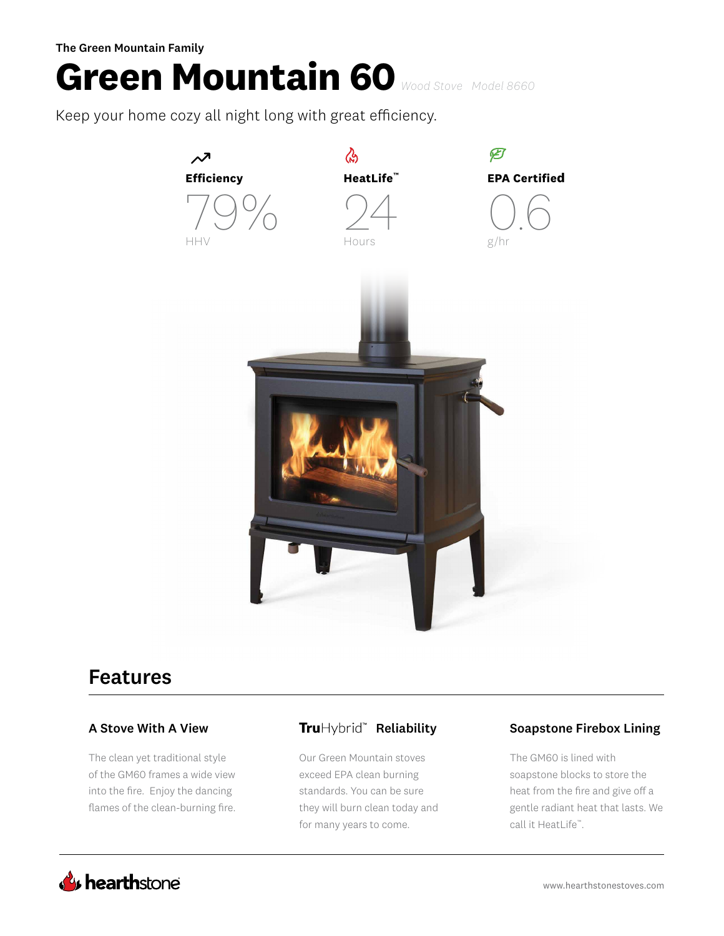The Green Mountain Family

# **Green Mountain 60** *Wood Stove Model 8660*

Keep your home cozy all night long with great efficiency.



# Features

The clean yet traditional style of the GM60 frames a wide view into the fire. Enjoy the dancing flames of the clean-burning fire.

Our Green Mountain stoves exceed EPA clean burning standards. You can be sure they will burn clean today and for many years to come.

### A Stove With A View **Tru**Hybrid<sup>"</sup> Reliability Soapstone Firebox Lining

The GM60 is lined with soapstone blocks to store the heat from the fire and give off a gentle radiant heat that lasts. We call it HeatLife™.